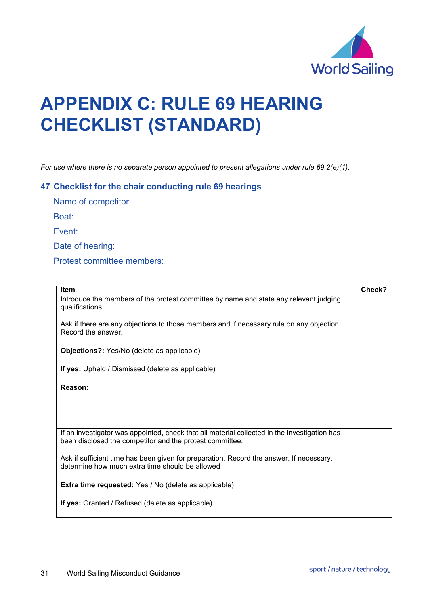

## **APPENDIX C: RULE 69 HEARING CHECKLIST (STANDARD)**

*For use where there is no separate person appointed to present allegations under rule 69.2(e)(1).*

## **47 Checklist for the chair conducting rule 69 hearings**

Name of competitor:

Boat:

Event:

Date of hearing:

Protest committee members:

| <b>Item</b>                                                                                                                                              | Check? |
|----------------------------------------------------------------------------------------------------------------------------------------------------------|--------|
| Introduce the members of the protest committee by name and state any relevant judging<br>qualifications                                                  |        |
| Ask if there are any objections to those members and if necessary rule on any objection.<br>Record the answer.                                           |        |
| <b>Objections?:</b> Yes/No (delete as applicable)                                                                                                        |        |
| If yes: Upheld / Dismissed (delete as applicable)                                                                                                        |        |
| Reason:                                                                                                                                                  |        |
|                                                                                                                                                          |        |
| If an investigator was appointed, check that all material collected in the investigation has<br>been disclosed the competitor and the protest committee. |        |
| Ask if sufficient time has been given for preparation. Record the answer. If necessary,<br>determine how much extra time should be allowed               |        |
| <b>Extra time requested:</b> Yes / No (delete as applicable)                                                                                             |        |
| If yes: Granted / Refused (delete as applicable)                                                                                                         |        |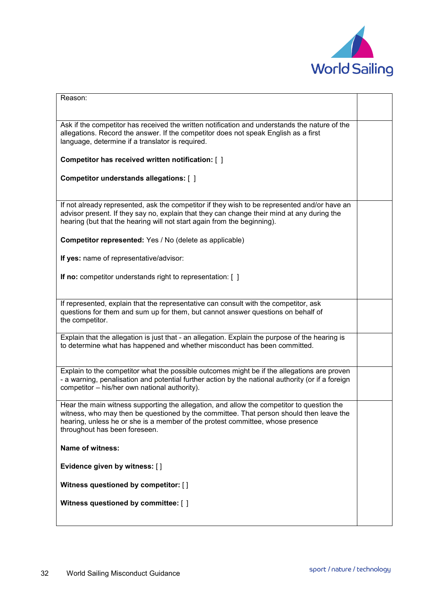

| Reason:                                                                                                                                                                                                                                                                                                 |  |
|---------------------------------------------------------------------------------------------------------------------------------------------------------------------------------------------------------------------------------------------------------------------------------------------------------|--|
|                                                                                                                                                                                                                                                                                                         |  |
| Ask if the competitor has received the written notification and understands the nature of the<br>allegations. Record the answer. If the competitor does not speak English as a first<br>language, determine if a translator is required.                                                                |  |
| Competitor has received written notification: [ ]                                                                                                                                                                                                                                                       |  |
| Competitor understands allegations: [ ]                                                                                                                                                                                                                                                                 |  |
| If not already represented, ask the competitor if they wish to be represented and/or have an<br>advisor present. If they say no, explain that they can change their mind at any during the<br>hearing (but that the hearing will not start again from the beginning).                                   |  |
| Competitor represented: Yes / No (delete as applicable)                                                                                                                                                                                                                                                 |  |
| If yes: name of representative/advisor:                                                                                                                                                                                                                                                                 |  |
| If no: competitor understands right to representation: [ ]                                                                                                                                                                                                                                              |  |
| If represented, explain that the representative can consult with the competitor, ask<br>questions for them and sum up for them, but cannot answer questions on behalf of<br>the competitor.                                                                                                             |  |
| Explain that the allegation is just that - an allegation. Explain the purpose of the hearing is<br>to determine what has happened and whether misconduct has been committed.                                                                                                                            |  |
| Explain to the competitor what the possible outcomes might be if the allegations are proven<br>- a warning, penalisation and potential further action by the national authority (or if a foreign<br>competitor - his/her own national authority).                                                       |  |
| Hear the main witness supporting the allegation, and allow the competitor to question the<br>witness, who may then be questioned by the committee. That person should then leave the<br>hearing, unless he or she is a member of the protest committee, whose presence<br>throughout has been foreseen. |  |
| Name of witness:                                                                                                                                                                                                                                                                                        |  |
| Evidence given by witness: []                                                                                                                                                                                                                                                                           |  |
| Witness questioned by competitor: []                                                                                                                                                                                                                                                                    |  |
| Witness questioned by committee: []                                                                                                                                                                                                                                                                     |  |
|                                                                                                                                                                                                                                                                                                         |  |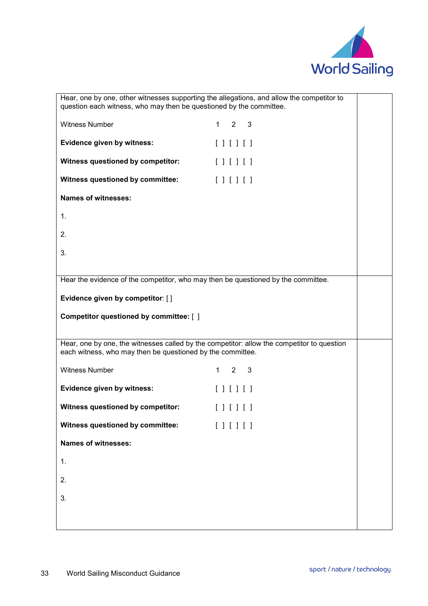

| Hear, one by one, other witnesses supporting the allegations, and allow the competitor to<br>question each witness, who may then be questioned by the committee. |                                   |
|------------------------------------------------------------------------------------------------------------------------------------------------------------------|-----------------------------------|
| <b>Witness Number</b>                                                                                                                                            | $1 \quad 2 \quad 3$               |
| Evidence given by witness:                                                                                                                                       | [                                 |
| Witness questioned by competitor:                                                                                                                                | $[ ] [ ] [ ]$                     |
| Witness questioned by committee:                                                                                                                                 | $[ ] [ ] [ ]$                     |
| <b>Names of witnesses:</b>                                                                                                                                       |                                   |
| 1.                                                                                                                                                               |                                   |
| 2.                                                                                                                                                               |                                   |
| 3.                                                                                                                                                               |                                   |
|                                                                                                                                                                  |                                   |
| Hear the evidence of the competitor, who may then be questioned by the committee.                                                                                |                                   |
| Evidence given by competitor: []                                                                                                                                 |                                   |
| Competitor questioned by committee: [ ]                                                                                                                          |                                   |
| Hear, one by one, the witnesses called by the competitor: allow the competitor to question                                                                       |                                   |
| each witness, who may then be questioned by the committee.                                                                                                       |                                   |
| <b>Witness Number</b>                                                                                                                                            | $2^{\circ}$<br>$\mathbf{3}$<br>1. |
| Evidence given by witness:                                                                                                                                       | [ ] [ ] [ ]                       |
| Witness questioned by competitor:                                                                                                                                | [ ] [ ] [ ]                       |
| Witness questioned by committee:                                                                                                                                 | [1111]                            |
| <b>Names of witnesses:</b>                                                                                                                                       |                                   |
| 1.                                                                                                                                                               |                                   |
| 2.                                                                                                                                                               |                                   |
| 3.                                                                                                                                                               |                                   |
|                                                                                                                                                                  |                                   |
|                                                                                                                                                                  |                                   |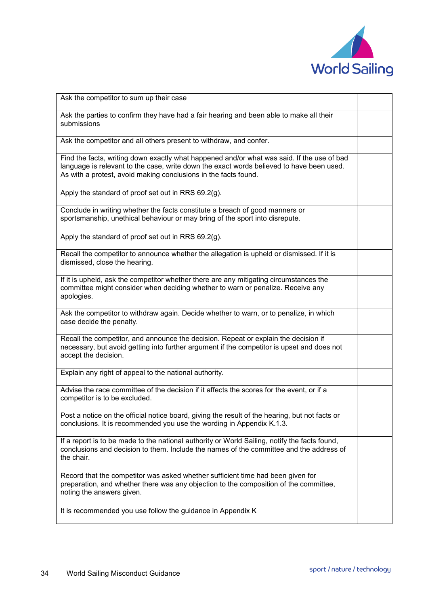

| Ask the competitor to sum up their case                                                                                                                                                                                                                   |  |
|-----------------------------------------------------------------------------------------------------------------------------------------------------------------------------------------------------------------------------------------------------------|--|
| Ask the parties to confirm they have had a fair hearing and been able to make all their<br>submissions                                                                                                                                                    |  |
| Ask the competitor and all others present to withdraw, and confer.                                                                                                                                                                                        |  |
| Find the facts, writing down exactly what happened and/or what was said. If the use of bad<br>language is relevant to the case, write down the exact words believed to have been used.<br>As with a protest, avoid making conclusions in the facts found. |  |
| Apply the standard of proof set out in RRS 69.2(g).                                                                                                                                                                                                       |  |
| Conclude in writing whether the facts constitute a breach of good manners or<br>sportsmanship, unethical behaviour or may bring of the sport into disrepute.                                                                                              |  |
| Apply the standard of proof set out in RRS 69.2(g).                                                                                                                                                                                                       |  |
| Recall the competitor to announce whether the allegation is upheld or dismissed. If it is<br>dismissed, close the hearing.                                                                                                                                |  |
| If it is upheld, ask the competitor whether there are any mitigating circumstances the<br>committee might consider when deciding whether to warn or penalize. Receive any<br>apologies.                                                                   |  |
| Ask the competitor to withdraw again. Decide whether to warn, or to penalize, in which<br>case decide the penalty.                                                                                                                                        |  |
| Recall the competitor, and announce the decision. Repeat or explain the decision if<br>necessary, but avoid getting into further argument if the competitor is upset and does not<br>accept the decision.                                                 |  |
| Explain any right of appeal to the national authority.                                                                                                                                                                                                    |  |
| Advise the race committee of the decision if it affects the scores for the event, or if a<br>competitor is to be excluded.                                                                                                                                |  |
| Post a notice on the official notice board, giving the result of the hearing, but not facts or<br>conclusions. It is recommended you use the wording in Appendix K.1.3.                                                                                   |  |
| If a report is to be made to the national authority or World Sailing, notify the facts found,<br>conclusions and decision to them. Include the names of the committee and the address of<br>the chair.                                                    |  |
| Record that the competitor was asked whether sufficient time had been given for<br>preparation, and whether there was any objection to the composition of the committee,<br>noting the answers given.                                                     |  |
| It is recommended you use follow the guidance in Appendix K                                                                                                                                                                                               |  |